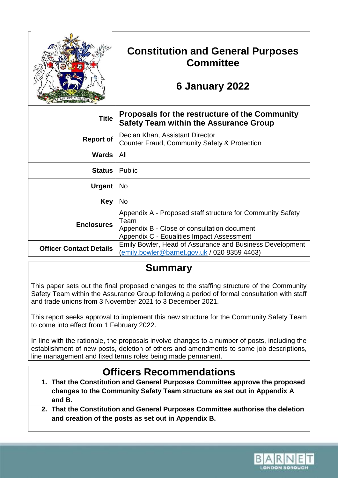| <b>EFFICIT MINISTERILI</b><br>UN |
|----------------------------------|

# **Constitution and General Purposes Committee**

# **6 January 2022**

| <b>Title</b>                   | Proposals for the restructure of the Community<br><b>Safety Team within the Assurance Group</b>                                                                |
|--------------------------------|----------------------------------------------------------------------------------------------------------------------------------------------------------------|
| <b>Report of</b>               | Declan Khan, Assistant Director<br><b>Counter Fraud, Community Safety &amp; Protection</b>                                                                     |
| Wards                          | All                                                                                                                                                            |
| <b>Status</b>                  | <b>Public</b>                                                                                                                                                  |
| <b>Urgent</b>                  | No.                                                                                                                                                            |
| Key                            | No                                                                                                                                                             |
| <b>Enclosures</b>              | Appendix A - Proposed staff structure for Community Safety<br>Team<br>Appendix B - Close of consultation document<br>Appendix C - Equalities Impact Assessment |
| <b>Officer Contact Details</b> | Emily Bowler, Head of Assurance and Business Development<br>emily.bowler@barnet.gov.uk / 020 8359 4463)                                                        |

## **Summary**

This paper sets out the final proposed changes to the staffing structure of the Community Safety Team within the Assurance Group following a period of formal consultation with staff and trade unions from 3 November 2021 to 3 December 2021.

This report seeks approval to implement this new structure for the Community Safety Team to come into effect from 1 February 2022.

In line with the rationale, the proposals involve changes to a number of posts, including the establishment of new posts, deletion of others and amendments to some job descriptions, line management and fixed terms roles being made permanent.

## **Officers Recommendations**

- **1. That the Constitution and General Purposes Committee approve the proposed changes to the Community Safety Team structure as set out in Appendix A and B.**
- **2. That the Constitution and General Purposes Committee authorise the deletion and creation of the posts as set out in Appendix B.**

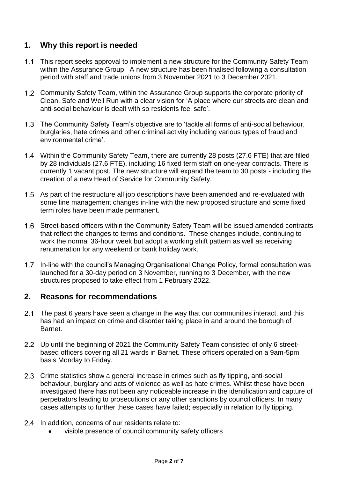### **1. Why this report is needed**

- $1.1$ This report seeks approval to implement a new structure for the Community Safety Team within the Assurance Group. A new structure has been finalised following a consultation period with staff and trade unions from 3 November 2021 to 3 December 2021.
- 1.2 Community Safety Team, within the Assurance Group supports the corporate priority of Clean, Safe and Well Run with a clear vision for 'A place where our streets are clean and anti-social behaviour is dealt with so residents feel safe'.
- The Community Safety Team's objective are to 'tackle all forms of anti-social behaviour, burglaries, hate crimes and other criminal activity including various types of fraud and environmental crime'.
- Within the Community Safety Team, there are currently 28 posts (27.6 FTE) that are filled by 28 individuals (27.6 FTE), including 16 fixed term staff on one-year contracts. There is currently 1 vacant post. The new structure will expand the team to 30 posts - including the creation of a new Head of Service for Community Safety.
- 1.5 As part of the restructure all job descriptions have been amended and re-evaluated with some line management changes in-line with the new proposed structure and some fixed term roles have been made permanent.
- 1.6 Street-based officers within the Community Safety Team will be issued amended contracts that reflect the changes to terms and conditions. These changes include, continuing to work the normal 36-hour week but adopt a working shift pattern as well as receiving renumeration for any weekend or bank holiday work.
- $1.7$ In-line with the council's Managing Organisational Change Policy, formal consultation was launched for a 30-day period on 3 November, running to 3 December, with the new structures proposed to take effect from 1 February 2022.

### **2. Reasons for recommendations**

- $2.1$ The past 6 years have seen a change in the way that our communities interact, and this has had an impact on crime and disorder taking place in and around the borough of Barnet.
- Up until the beginning of 2021 the Community Safety Team consisted of only 6 streetbased officers covering all 21 wards in Barnet. These officers operated on a 9am-5pm basis Monday to Friday.
- 2.3 Crime statistics show a general increase in crimes such as fly tipping, anti-social behaviour, burglary and acts of violence as well as hate crimes. Whilst these have been investigated there has not been any noticeable increase in the identification and capture of perpetrators leading to prosecutions or any other sanctions by council officers. In many cases attempts to further these cases have failed; especially in relation to fly tipping.
- 2.4 In addition, concerns of our residents relate to:
	- visible presence of council community safety officers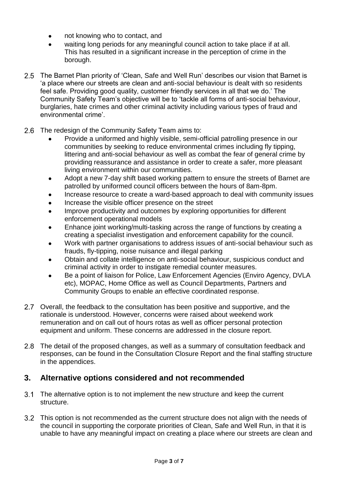- not knowing who to contact, and
- waiting long periods for any meaningful council action to take place if at all. This has resulted in a significant increase in the perception of crime in the borough.
- 2.5 The Barnet Plan priority of 'Clean, Safe and Well Run' describes our vision that Barnet is 'a place where our streets are clean and anti-social behaviour is dealt with so residents feel safe. Providing good quality, customer friendly services in all that we do.' The Community Safety Team's objective will be to 'tackle all forms of anti-social behaviour, burglaries, hate crimes and other criminal activity including various types of fraud and environmental crime'.
- $2.6$ The redesign of the Community Safety Team aims to:
	- Provide a uniformed and highly visible, semi-official patrolling presence in our communities by seeking to reduce environmental crimes including fly tipping, littering and anti-social behaviour as well as combat the fear of general crime by providing reassurance and assistance in order to create a safer, more pleasant living environment within our communities.
	- Adopt a new 7-day shift based working pattern to ensure the streets of Barnet are patrolled by uniformed council officers between the hours of 8am-8pm.
	- Increase resource to create a ward-based approach to deal with community issues
	- Increase the visible officer presence on the street
	- Improve productivity and outcomes by exploring opportunities for different enforcement operational models
	- Enhance joint working/multi-tasking across the range of functions by creating a creating a specialist investigation and enforcement capability for the council.
	- Work with partner organisations to address issues of anti-social behaviour such as frauds, fly-tipping, noise nuisance and illegal parking
	- Obtain and collate intelligence on anti-social behaviour, suspicious conduct and criminal activity in order to instigate remedial counter measures.
	- Be a point of liaison for Police, Law Enforcement Agencies (Enviro Agency, DVLA etc), MOPAC, Home Office as well as Council Departments, Partners and Community Groups to enable an effective coordinated response.
- 2.7 Overall, the feedback to the consultation has been positive and supportive, and the rationale is understood. However, concerns were raised about weekend work remuneration and on call out of hours rotas as well as officer personal protection equipment and uniform. These concerns are addressed in the closure report.
- The detail of the proposed changes, as well as a summary of consultation feedback and responses, can be found in the Consultation Closure Report and the final staffing structure in the appendices.

## **3. Alternative options considered and not recommended**

- $3.1$ The alternative option is to not implement the new structure and keep the current structure.
- This option is not recommended as the current structure does not align with the needs of the council in supporting the corporate priorities of Clean, Safe and Well Run, in that it is unable to have any meaningful impact on creating a place where our streets are clean and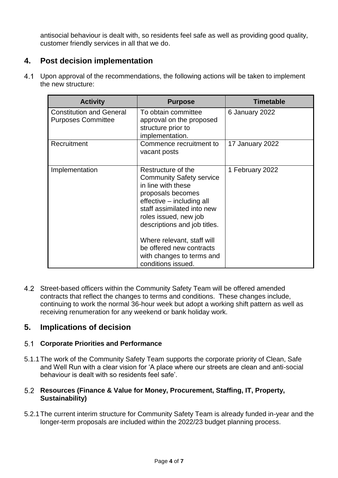antisocial behaviour is dealt with, so residents feel safe as well as providing good quality, customer friendly services in all that we do.

## **4. Post decision implementation**

 $4.1$ Upon approval of the recommendations, the following actions will be taken to implement the new structure:

| <b>Activity</b>                                              | <b>Purpose</b>                                                                                                                                                                                                                                                                                              | <b>Timetable</b> |
|--------------------------------------------------------------|-------------------------------------------------------------------------------------------------------------------------------------------------------------------------------------------------------------------------------------------------------------------------------------------------------------|------------------|
| <b>Constitution and General</b><br><b>Purposes Committee</b> | To obtain committee<br>approval on the proposed<br>structure prior to<br>implementation.                                                                                                                                                                                                                    | 6 January 2022   |
| Recruitment                                                  | Commence recruitment to<br>vacant posts                                                                                                                                                                                                                                                                     | 17 January 2022  |
| Implementation                                               | Restructure of the<br><b>Community Safety service</b><br>in line with these<br>proposals becomes<br>effective - including all<br>staff assimilated into new<br>roles issued, new job<br>descriptions and job titles.<br>Where relevant, staff will<br>be offered new contracts<br>with changes to terms and | 1 February 2022  |

4.2 Street-based officers within the Community Safety Team will be offered amended contracts that reflect the changes to terms and conditions. These changes include, continuing to work the normal 36-hour week but adopt a working shift pattern as well as receiving renumeration for any weekend or bank holiday work.

## **5. Implications of decision**

#### **Corporate Priorities and Performance**

5.1.1The work of the Community Safety Team supports the corporate priority of Clean, Safe and Well Run with a clear vision for 'A place where our streets are clean and anti-social behaviour is dealt with so residents feel safe'.

#### **Resources (Finance & Value for Money, Procurement, Staffing, IT, Property, Sustainability)**

5.2.1The current interim structure for Community Safety Team is already funded in-year and the longer-term proposals are included within the 2022/23 budget planning process.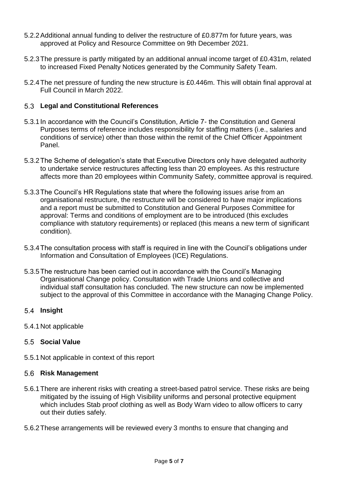- 5.2.2Additional annual funding to deliver the restructure of £0.877m for future years, was approved at Policy and Resource Committee on 9th December 2021.
- 5.2.3The pressure is partly mitigated by an additional annual income target of £0.431m, related to increased Fixed Penalty Notices generated by the Community Safety Team.
- 5.2.4The net pressure of funding the new structure is £0.446m. This will obtain final approval at Full Council in March 2022.

#### **Legal and Constitutional References**

- 5.3.1In accordance with the Council's Constitution, Article 7- the Constitution and General Purposes terms of reference includes responsibility for staffing matters (i.e., salaries and conditions of service) other than those within the remit of the Chief Officer Appointment Panel.
- 5.3.2The Scheme of delegation's state that Executive Directors only have delegated authority to undertake service restructures affecting less than 20 employees. As this restructure affects more than 20 employees within Community Safety, committee approval is required.
- 5.3.3The Council's HR Regulations state that where the following issues arise from an organisational restructure, the restructure will be considered to have major implications and a report must be submitted to Constitution and General Purposes Committee for approval: Terms and conditions of employment are to be introduced (this excludes compliance with statutory requirements) or replaced (this means a new term of significant condition).
- 5.3.4The consultation process with staff is required in line with the Council's obligations under Information and Consultation of Employees (ICE) Regulations.
- 5.3.5The restructure has been carried out in accordance with the Council's Managing Organisational Change policy. Consultation with Trade Unions and collective and individual staff consultation has concluded. The new structure can now be implemented subject to the approval of this Committee in accordance with the Managing Change Policy.

#### **Insight**

5.4.1Not applicable

#### **Social Value**

5.5.1Not applicable in context of this report

#### **Risk Management**

- 5.6.1There are inherent risks with creating a street-based patrol service. These risks are being mitigated by the issuing of High Visibility uniforms and personal protective equipment which includes Stab proof clothing as well as Body Warn video to allow officers to carry out their duties safely.
- 5.6.2These arrangements will be reviewed every 3 months to ensure that changing and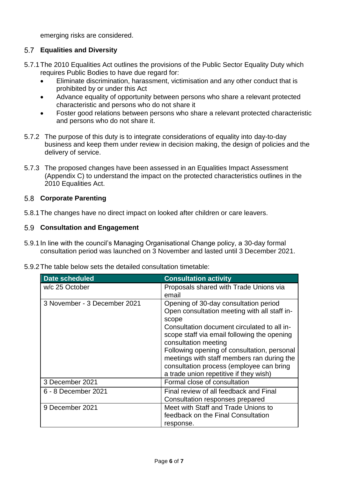emerging risks are considered.

#### **Equalities and Diversity**

- 5.7.1The 2010 Equalities Act outlines the provisions of the Public Sector Equality Duty which requires Public Bodies to have due regard for:
	- Eliminate discrimination, harassment, victimisation and any other conduct that is prohibited by or under this Act
	- Advance equality of opportunity between persons who share a relevant protected characteristic and persons who do not share it
	- Foster good relations between persons who share a relevant protected characteristic and persons who do not share it.
- 5.7.2 The purpose of this duty is to integrate considerations of equality into day-to-day business and keep them under review in decision making, the design of policies and the delivery of service.
- 5.7.3 The proposed changes have been assessed in an Equalities Impact Assessment (Appendix C) to understand the impact on the protected characteristics outlines in the 2010 Equalities Act.

#### **Corporate Parenting**

5.8.1The changes have no direct impact on looked after children or care leavers.

#### **Consultation and Engagement**

- 5.9.1In line with the council's Managing Organisational Change policy, a 30-day formal consultation period was launched on 3 November and lasted until 3 December 2021.
- 5.9.2The table below sets the detailed consultation timetable:

| <b>Date scheduled</b>        | <b>Consultation activity</b>                                                                                                                                                                                                                                                                                                                                                                            |
|------------------------------|---------------------------------------------------------------------------------------------------------------------------------------------------------------------------------------------------------------------------------------------------------------------------------------------------------------------------------------------------------------------------------------------------------|
| w/c 25 October               | Proposals shared with Trade Unions via<br>email                                                                                                                                                                                                                                                                                                                                                         |
| 3 November - 3 December 2021 | Opening of 30-day consultation period<br>Open consultation meeting with all staff in-<br>scope<br>Consultation document circulated to all in-<br>scope staff via email following the opening<br>consultation meeting<br>Following opening of consultation, personal<br>meetings with staff members ran during the<br>consultation process (employee can bring<br>a trade union repetitive if they wish) |
| 3 December 2021              | Formal close of consultation                                                                                                                                                                                                                                                                                                                                                                            |
| 6 - 8 December 2021          | Final review of all feedback and Final<br>Consultation responses prepared                                                                                                                                                                                                                                                                                                                               |
| 9 December 2021              | Meet with Staff and Trade Unions to<br>feedback on the Final Consultation<br>response.                                                                                                                                                                                                                                                                                                                  |